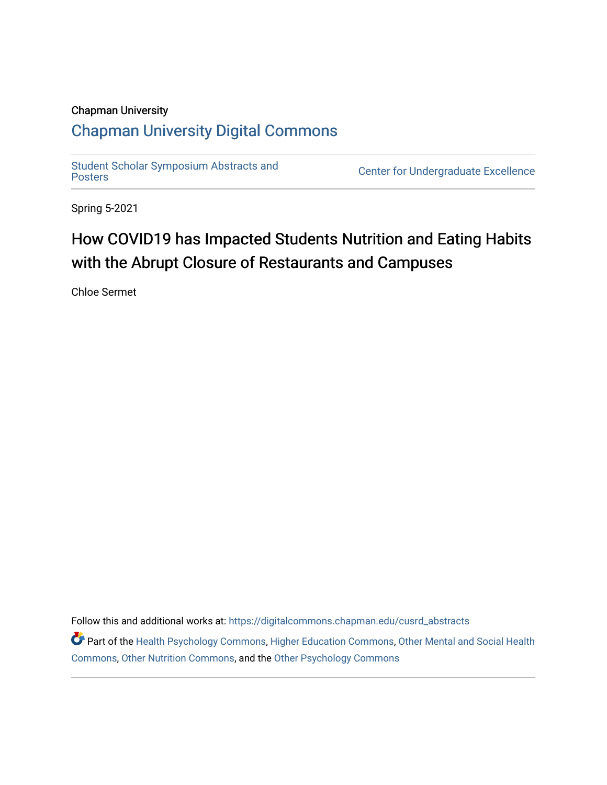### Chapman University

### [Chapman University Digital Commons](https://digitalcommons.chapman.edu/)

Student Scholar Symposium Abstracts and<br>Posters

Center for Undergraduate Excellence

Spring 5-2021

### How COVID19 has Impacted Students Nutrition and Eating Habits with the Abrupt Closure of Restaurants and Campuses

Chloe Sermet

Follow this and additional works at: [https://digitalcommons.chapman.edu/cusrd\\_abstracts](https://digitalcommons.chapman.edu/cusrd_abstracts?utm_source=digitalcommons.chapman.edu%2Fcusrd_abstracts%2F454&utm_medium=PDF&utm_campaign=PDFCoverPages) 

Part of the [Health Psychology Commons](http://network.bepress.com/hgg/discipline/411?utm_source=digitalcommons.chapman.edu%2Fcusrd_abstracts%2F454&utm_medium=PDF&utm_campaign=PDFCoverPages), [Higher Education Commons,](http://network.bepress.com/hgg/discipline/1245?utm_source=digitalcommons.chapman.edu%2Fcusrd_abstracts%2F454&utm_medium=PDF&utm_campaign=PDFCoverPages) Other Mental and Social Health [Commons](http://network.bepress.com/hgg/discipline/717?utm_source=digitalcommons.chapman.edu%2Fcusrd_abstracts%2F454&utm_medium=PDF&utm_campaign=PDFCoverPages), [Other Nutrition Commons,](http://network.bepress.com/hgg/discipline/101?utm_source=digitalcommons.chapman.edu%2Fcusrd_abstracts%2F454&utm_medium=PDF&utm_campaign=PDFCoverPages) and the [Other Psychology Commons](http://network.bepress.com/hgg/discipline/415?utm_source=digitalcommons.chapman.edu%2Fcusrd_abstracts%2F454&utm_medium=PDF&utm_campaign=PDFCoverPages)